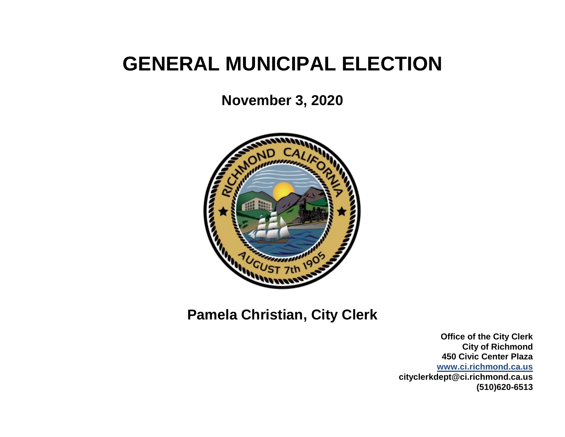# **GENERAL MUNICIPAL ELECTION**

**November 3, 2020**



**Pamela Christian, City Clerk**

**Office of the City Clerk City of Richmond 450 Civic Center Plaza [www.ci.richmond.ca.us](http://www.ci.richmond.ca.us/) cityclerkdept@ci.richmond.ca.us (510)620-6513**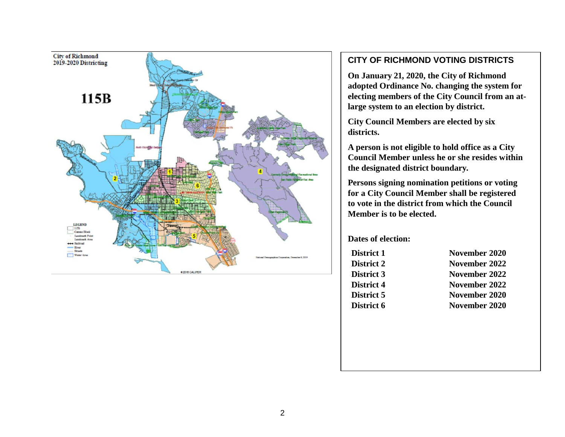

#### **CITY OF RICHMOND VOTING DISTRICTS**

**On January 21, 2020, the City of Richmond adopted Ordinance No. changing the system for electing members of the City Council from an atlarge system to an election by district.**

**City Council Members are elected by six districts.**

**A person is not eligible to hold office as a City Council Member unless he or she resides within the designated district boundary.**

**Persons signing nomination petitions or voting for a City Council Member shall be registered to vote in the district from which the Council Member is to be elected.**

#### **Dates of election:**

- 
- **District 1 November 2020 District 2 November 2022 District 3 November 2022 District 4 November 2022 District 5 November 2020 District 6 November 2020**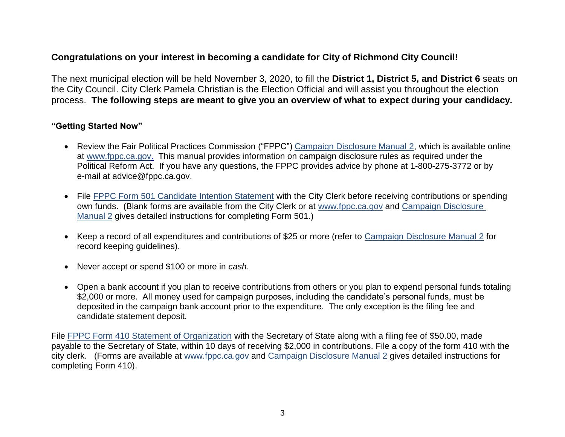# **Congratulations on your interest in becoming a candidate for City of Richmond City Council!**

The next municipal election will be held November 3, 2020, to fill the **District 1, District 5, and District 6** seats on the City Council. City Clerk Pamela Christian is the Election Official and will assist you throughout the election process. **The following steps are meant to give you an overview of what to expect during your candidacy.**

#### **"Getting Started Now"**

- Review the Fair Political Practices Commission ("FPPC") [Campaign Disclosure Manual](http://www.fppc.ca.gov/learn/campaign-rules/campaign-disclosure-manuals.html#title2) 2, which is available online at [www.fppc.ca.gov.](http://www.fppc.ca.gov/learn/campaign-rules.html) This manual provides information on campaign disclosure rules as required under the Political Reform Act. If you have any questions, the FPPC provides advice by phone at 1-800-275-3772 or by e-mail at advice@fppc.ca.gov.
- File [FPPC Form 501 Candidate Intention Statement](http://www.fppc.ca.gov/content/dam/fppc/NS-Documents/TAD/Campaign%20Forms/501.pdf) with the City Clerk before receiving contributions or spending own funds. (Blank forms are available from the City Clerk or at [www.fppc.ca.gov](http://www.fppc.ca.gov/learn/campaign-rules.html) and [Campaign Disclosure](http://www.fppc.ca.gov/learn/campaign-rules/campaign-disclosure-manuals.html#title2)  [Manual](http://www.fppc.ca.gov/learn/campaign-rules/campaign-disclosure-manuals.html#title2) 2 gives detailed instructions for completing Form 501.)
- Keep a record of all expenditures and contributions of \$25 or more (refer to [Campaign Disclosure Manual](http://www.fppc.ca.gov/learn/campaign-rules/campaign-disclosure-manuals.html#title2) 2 for record keeping guidelines).
- Never accept or spend \$100 or more in *cash*.
- Open a bank account if you plan to receive contributions from others or you plan to expend personal funds totaling \$2,000 or more. All money used for campaign purposes, including the candidate's personal funds, must be deposited in the campaign bank account prior to the expenditure. The only exception is the filing fee and candidate statement deposit.

File [FPPC Form 410 Statement of Organization](http://www.fppc.ca.gov/content/dam/fppc/NS-Documents/TAD/Campaign%20Forms/410.pdf) with the Secretary of State along with a filing fee of \$50.00, made payable to the Secretary of State, within 10 days of receiving \$2,000 in contributions. File a copy of the form 410 with the city clerk. (Forms are available at [www.fppc.ca.gov](http://www.fppc.ca.gov/learn/campaign-rules.html) and [Campaign Disclosure Manual](http://www.fppc.ca.gov/learn/campaign-rules/campaign-disclosure-manuals.html#title2) 2 gives detailed instructions for completing Form 410).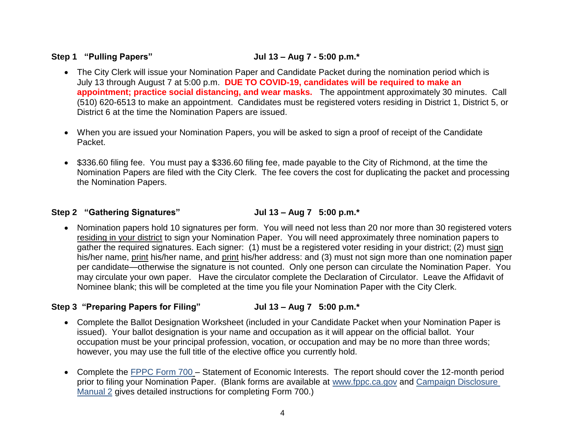# **Step 1 "Pulling Papers" Jul 13 – Aug 7 - 5:00 p.m.\***

- The City Clerk will issue your Nomination Paper and Candidate Packet during the nomination period which is July 13 through August 7 at 5:00 p.m. **DUE TO COVID-19, candidates will be required to make an appointment; practice social distancing, and wear masks.** The appointment approximately 30 minutes. Call (510) 620-6513 to make an appointment. Candidates must be registered voters residing in District 1, District 5, or District 6 at the time the Nomination Papers are issued.
- When you are issued your Nomination Papers, you will be asked to sign a proof of receipt of the Candidate Packet.
- \$336.60 filing fee. You must pay a \$336.60 filing fee, made payable to the City of Richmond, at the time the Nomination Papers are filed with the City Clerk. The fee covers the cost for duplicating the packet and processing the Nomination Papers.

### **Step 2 "Gathering Signatures" Jul 13 – Aug 7 5:00 p.m.\***

• Nomination papers hold 10 signatures per form. You will need not less than 20 nor more than 30 registered voters residing in your district to sign your Nomination Paper. You will need approximately three nomination papers to gather the required signatures. Each signer: (1) must be a registered voter residing in your district; (2) must sign his/her name, print his/her name, and print his/her address: and (3) must not sign more than one nomination paper per candidate—otherwise the signature is not counted. Only one person can circulate the Nomination Paper. You may circulate your own paper. Have the circulator complete the Declaration of Circulator. Leave the Affidavit of Nominee blank; this will be completed at the time you file your Nomination Paper with the City Clerk.

# **Step 3 "Preparing Papers for Filing" Jul 13 – Aug 7 5:00 p.m.\***

- Complete the Ballot Designation Worksheet (included in your Candidate Packet when your Nomination Paper is issued). Your ballot designation is your name and occupation as it will appear on the official ballot. Your occupation must be your principal profession, vocation, or occupation and may be no more than three words; however, you may use the full title of the elective office you currently hold.
- Complete the [FPPC Form 700](http://www.fppc.ca.gov/Form700.html) Statement of Economic Interests. The report should cover the 12-month period prior to filing your Nomination Paper. (Blank forms are available at [www.fppc.ca.gov](http://www.fppc.ca.gov/learn/campaign-rules.html) and [Campaign Disclosure](http://www.fppc.ca.gov/learn/campaign-rules/campaign-disclosure-manuals.html#title2)  [Manual](http://www.fppc.ca.gov/learn/campaign-rules/campaign-disclosure-manuals.html#title2) 2 gives detailed instructions for completing Form 700.)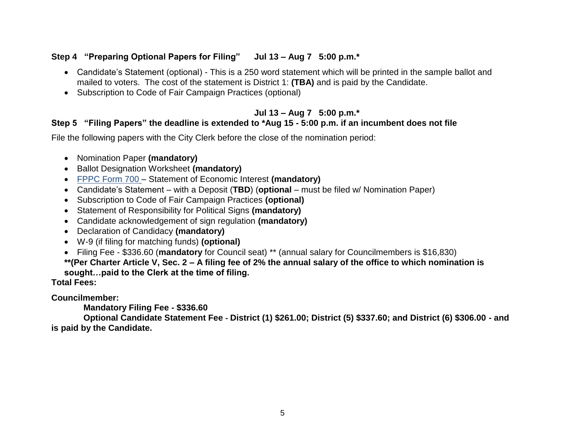### **Step 4 "Preparing Optional Papers for Filing" Jul 13 – Aug 7 5:00 p.m.\***

- Candidate's Statement (optional) This is a 250 word statement which will be printed in the sample ballot and mailed to voters. The cost of the statement is District 1: **(TBA)** and is paid by the Candidate.
- Subscription to Code of Fair Campaign Practices (optional)

#### **Jul 13 – Aug 7 5:00 p.m.\***

# **Step 5 "Filing Papers" the deadline is extended to \*Aug 15 - 5:00 p.m. if an incumbent does not file**

File the following papers with the City Clerk before the close of the nomination period:

- Nomination Paper **(mandatory)**
- Ballot Designation Worksheet **(mandatory)**
- [FPPC Form 700](http://www.fppc.ca.gov/Form700.html) Statement of Economic Interest **(mandatory)**
- Candidate's Statement with a Deposit (**TBD**) (**optional** must be filed w/ Nomination Paper)
- Subscription to Code of Fair Campaign Practices **(optional)**
- Statement of Responsibility for Political Signs **(mandatory)**
- Candidate acknowledgement of sign regulation **(mandatory)**
- Declaration of Candidacy **(mandatory)**
- W-9 (if filing for matching funds) **(optional)**
- Filing Fee \$336.60 (**mandatory** for Council seat) \*\* (annual salary for Councilmembers is \$16,830)

**\*\*(Per Charter Article V, Sec. 2 – A filing fee of 2% the annual salary of the office to which nomination is sought…paid to the Clerk at the time of filing.**

**Total Fees:**

**Councilmember:** 

**Mandatory Filing Fee - \$336.60** 

**Optional Candidate Statement Fee - District (1) \$261.00; District (5) \$337.60; and District (6) \$306.00 - and is paid by the Candidate.**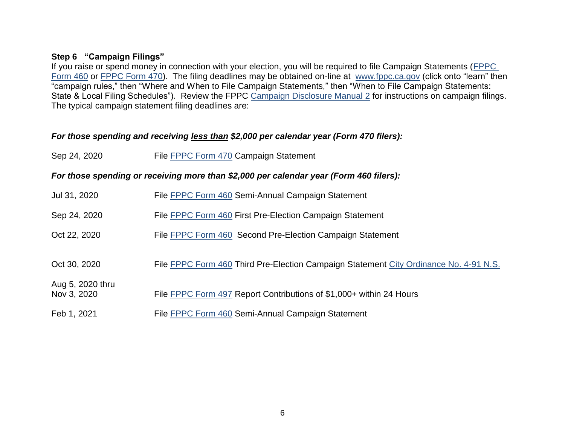#### **Step 6 "Campaign Filings"**

If you raise or spend money in connection with your election, you will be required to file Campaign Statements [\(FPPC](http://www.fppc.ca.gov/content/dam/fppc/NS-Documents/TAD/Campaign%20Forms/460.pdf)  [Form 460](http://www.fppc.ca.gov/content/dam/fppc/NS-Documents/TAD/Campaign%20Forms/460.pdf) or [FPPC Form 470\)](http://www.fppc.ca.gov/content/dam/fppc/NS-Documents/TAD/Campaign%20Forms/470%20IA.pdf). The filing deadlines may be obtained on-line at [www.fppc.ca.gov](http://www.fppc.ca.gov/learn/campaign-rules.html) (click onto "learn" then "campaign rules," then "Where and When to File Campaign Statements," then "When to File Campaign Statements: State & Local Filing Schedules"). Review the FPPC [Campaign Disclosure Manual](http://www.fppc.ca.gov/learn/campaign-rules/campaign-disclosure-manuals.html#title2) 2 for instructions on campaign filings. The typical campaign statement filing deadlines are:

#### *For those spending and receiving less than \$2,000 per calendar year (Form 470 filers):*

| Sep 24, 2020 | File <b>FPPC Form 470</b> Campaign Statement |
|--------------|----------------------------------------------|
|              |                                              |

*For those spending or receiving more than \$2,000 per calendar year (Form 460 filers):*

| Jul 31, 2020                    | File FPPC Form 460 Semi-Annual Campaign Statement                                     |
|---------------------------------|---------------------------------------------------------------------------------------|
| Sep 24, 2020                    | File FPPC Form 460 First Pre-Election Campaign Statement                              |
| Oct 22, 2020                    | File FPPC Form 460 Second Pre-Election Campaign Statement                             |
| Oct 30, 2020                    | File FPPC Form 460 Third Pre-Election Campaign Statement City Ordinance No. 4-91 N.S. |
| Aug 5, 2020 thru<br>Nov 3, 2020 | File FPPC Form 497 Report Contributions of \$1,000+ within 24 Hours                   |
| Feb 1, 2021                     | File FPPC Form 460 Semi-Annual Campaign Statement                                     |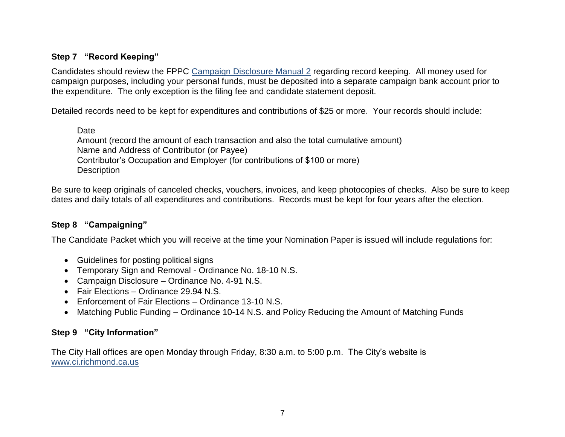# **Step 7 "Record Keeping"**

Candidates should review the FPPC [Campaign Disclosure Manual](http://www.fppc.ca.gov/learn/campaign-rules/campaign-disclosure-manuals.html#title2) 2 regarding record keeping. All money used for campaign purposes, including your personal funds, must be deposited into a separate campaign bank account prior to the expenditure. The only exception is the filing fee and candidate statement deposit.

Detailed records need to be kept for expenditures and contributions of \$25 or more. Your records should include:

Date

Amount (record the amount of each transaction and also the total cumulative amount) Name and Address of Contributor (or Payee) Contributor's Occupation and Employer (for contributions of \$100 or more) **Description** 

Be sure to keep originals of canceled checks, vouchers, invoices, and keep photocopies of checks. Also be sure to keep dates and daily totals of all expenditures and contributions. Records must be kept for four years after the election.

#### **Step 8 "Campaigning"**

The Candidate Packet which you will receive at the time your Nomination Paper is issued will include regulations for:

- Guidelines for posting political signs
- Temporary Sign and Removal Ordinance No. 18-10 N.S.
- Campaign Disclosure Ordinance No. 4-91 N.S.
- Fair Elections Ordinance 29.94 N.S.
- Enforcement of Fair Elections Ordinance 13-10 N.S.
- Matching Public Funding Ordinance 10-14 N.S. and Policy Reducing the Amount of Matching Funds

# **Step 9 "City Information"**

The City Hall offices are open Monday through Friday, 8:30 a.m. to 5:00 p.m. The City's website is www.ci.richmond.ca.us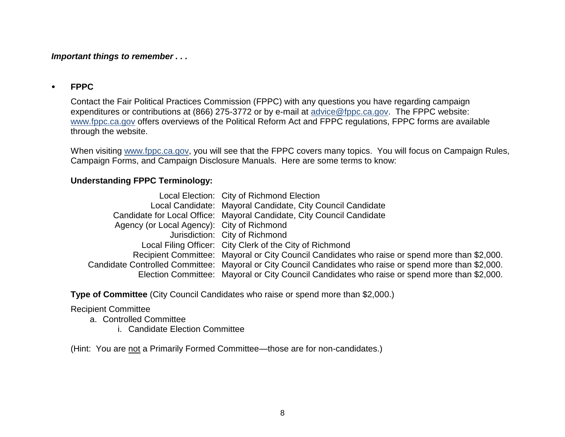*Important things to remember . . .*

#### **FPPC**

Contact the Fair Political Practices Commission (FPPC) with any questions you have regarding campaign expenditures or contributions at (866) 275-3772 or by e-mail at [advice@fppc.ca.gov.](mailto:advice@fppc.ca.gov) The FPPC website: [www.fppc.ca.gov](http://www.fppc.ca.gov/learn/campaign-rules.html) offers overviews of the Political Reform Act and FPPC regulations, FPPC forms are available through the website.

When visiting [www.fppc.ca.gov,](http://www.fppc.ca.gov/) you will see that the FPPC covers many topics. You will focus on Campaign Rules, Campaign Forms, and Campaign Disclosure Manuals. Here are some terms to know:

### **Understanding FPPC Terminology:**

|                                            | Local Election: City of Richmond Election                                                                |
|--------------------------------------------|----------------------------------------------------------------------------------------------------------|
|                                            | Local Candidate: Mayoral Candidate, City Council Candidate                                               |
|                                            | Candidate for Local Office: Mayoral Candidate, City Council Candidate                                    |
| Agency (or Local Agency): City of Richmond |                                                                                                          |
|                                            | Jurisdiction: City of Richmond                                                                           |
|                                            | Local Filing Officer: City Clerk of the City of Richmond                                                 |
|                                            | Recipient Committee: Mayoral or City Council Candidates who raise or spend more than \$2,000.            |
|                                            | Candidate Controlled Committee: Mayoral or City Council Candidates who raise or spend more than \$2,000. |
|                                            | Election Committee: Mayoral or City Council Candidates who raise or spend more than \$2,000.             |

**Type of Committee** (City Council Candidates who raise or spend more than \$2,000.)

#### Recipient Committee

a. Controlled Committee

i. Candidate Election Committee

(Hint: You are not a Primarily Formed Committee—those are for non-candidates.)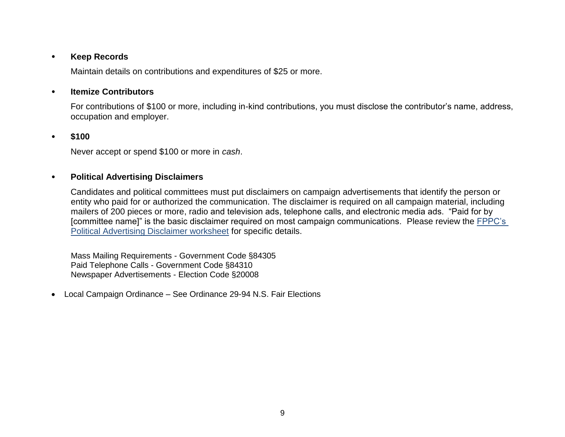#### **Keep Records**

Maintain details on contributions and expenditures of \$25 or more.

#### **Itemize Contributors**

For contributions of \$100 or more, including in-kind contributions, you must disclose the contributor's name, address, occupation and employer.

#### **\$100**

Never accept or spend \$100 or more in *cash*.

#### **Political Advertising Disclaimers**

Candidates and political committees must put disclaimers on campaign advertisements that identify the person or entity who paid for or authorized the communication. The disclaimer is required on all campaign material, including mailers of 200 pieces or more, radio and television ads, telephone calls, and electronic media ads. "Paid for by [committee name]" is the basic disclaimer required on most campaign communications. Please review the [FPPC's](http://www.fppc.ca.gov/content/dam/fppc/NS-Documents/TAD/Campaign%20Documents/CampaignAdvertisementDisclosure/Disclaimers%201-%20Candidate%27s%20Own%20Campaign.pdf)  [Political Advertising Disclaimer worksheet](http://www.fppc.ca.gov/content/dam/fppc/NS-Documents/TAD/Campaign%20Documents/CampaignAdvertisementDisclosure/Disclaimers%201-%20Candidate%27s%20Own%20Campaign.pdf) for specific details.

Mass Mailing Requirements - Government Code §84305 Paid Telephone Calls - Government Code §84310 Newspaper Advertisements - Election Code §20008

Local Campaign Ordinance – See Ordinance 29-94 N.S. Fair Elections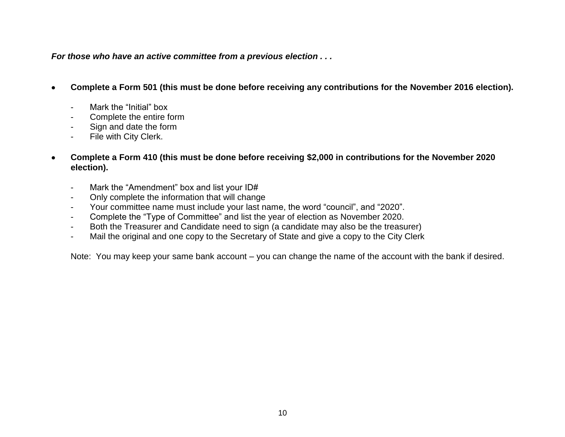*For those who have an active committee from a previous election . . .*

- **Complete a Form 501 (this must be done before receiving any contributions for the November 2016 election).**
	- Mark the "Initial" box
	- Complete the entire form
	- Sign and date the form
	- File with City Clerk.
- **Complete a Form 410 (this must be done before receiving \$2,000 in contributions for the November 2020 election).**
	- Mark the "Amendment" box and list your ID#
	- Only complete the information that will change
	- Your committee name must include your last name, the word "council", and "2020".
	- Complete the "Type of Committee" and list the year of election as November 2020.
	- Both the Treasurer and Candidate need to sign (a candidate may also be the treasurer)
	- Mail the original and one copy to the Secretary of State and give a copy to the City Clerk

Note: You may keep your same bank account – you can change the name of the account with the bank if desired.